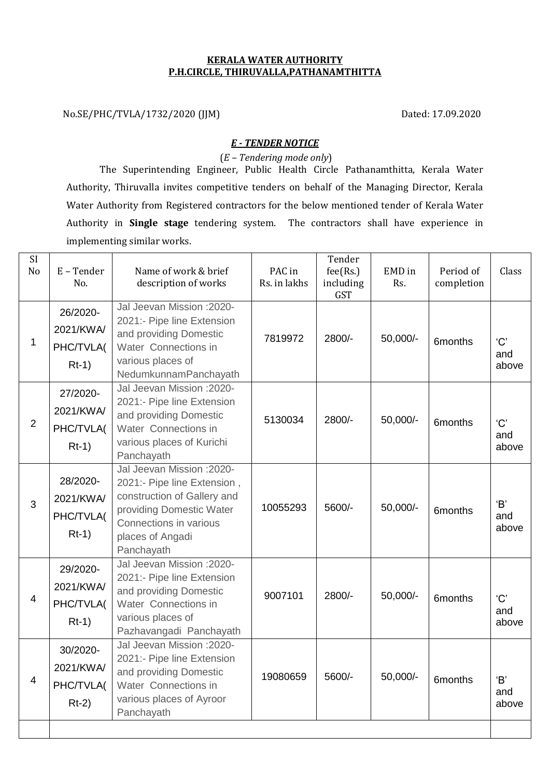## **KERALA WATER AUTHORITY P.H.CIRCLE, THIRUVALLA,PATHANAMTHITTA**

No.SE/PHC/TVLA/1732/2020 (JJM) Dated: 17.09.2020

## *E - TENDER NOTICE*

(*E – Tendering mode only*)

The Superintending Engineer, Public Health Circle Pathanamthitta, Kerala Water Authority, Thiruvalla invites competitive tenders on behalf of the Managing Director, Kerala Water Authority from Registered contractors for the below mentioned tender of Kerala Water Authority in **Single stage** tendering system. The contractors shall have experience in implementing similar works.

| <b>SI</b><br>N <sub>o</sub> | E-Tender<br>No.                               | Name of work & brief<br>description of works                                                                                                                                     | PAC in<br>Rs. in lakhs | Tender<br>fee(Rs.)<br>including<br><b>GST</b> | EMD in<br>Rs. | Period of<br>completion | Class               |
|-----------------------------|-----------------------------------------------|----------------------------------------------------------------------------------------------------------------------------------------------------------------------------------|------------------------|-----------------------------------------------|---------------|-------------------------|---------------------|
| 1                           | 26/2020-<br>2021/KWA/<br>PHC/TVLA(<br>$Rt-1)$ | Jal Jeevan Mission : 2020-<br>2021:- Pipe line Extension<br>and providing Domestic<br>Water Connections in<br>various places of<br>NedumkunnamPanchayath                         | 7819972                | 2800/-                                        | 50,000/-      | 6months                 | 'C'<br>and<br>above |
| $\overline{2}$              | 27/2020-<br>2021/KWA/<br>PHC/TVLA(<br>$Rt-1)$ | Jal Jeevan Mission : 2020-<br>2021:- Pipe line Extension<br>and providing Domestic<br>Water Connections in<br>various places of Kurichi<br>Panchayath                            | 5130034                | 2800/-                                        | 50,000/-      | 6months                 | 'C'<br>and<br>above |
| 3                           | 28/2020-<br>2021/KWA/<br>PHC/TVLA(<br>$Rt-1)$ | Jal Jeevan Mission : 2020-<br>2021:- Pipe line Extension,<br>construction of Gallery and<br>providing Domestic Water<br>Connections in various<br>places of Angadi<br>Panchayath | 10055293               | 5600/-                                        | 50,000/-      | 6months                 | 'B'<br>and<br>above |
| 4                           | 29/2020-<br>2021/KWA/<br>PHC/TVLA(<br>$Rt-1)$ | Jal Jeevan Mission : 2020-<br>2021:- Pipe line Extension<br>and providing Domestic<br>Water Connections in<br>various places of<br>Pazhavangadi Panchayath                       | 9007101                | 2800/-                                        | 50,000/-      | 6months                 | 'C'<br>and<br>above |
| 4                           | 30/2020-<br>2021/KWA/<br>PHC/TVLA(<br>$Rt-2)$ | Jal Jeevan Mission : 2020-<br>2021:- Pipe line Extension<br>and providing Domestic<br>Water Connections in<br>various places of Ayroor<br>Panchayath                             | 19080659               | 5600/-                                        | 50,000/-      | 6months                 | 'B'<br>and<br>above |
|                             |                                               |                                                                                                                                                                                  |                        |                                               |               |                         |                     |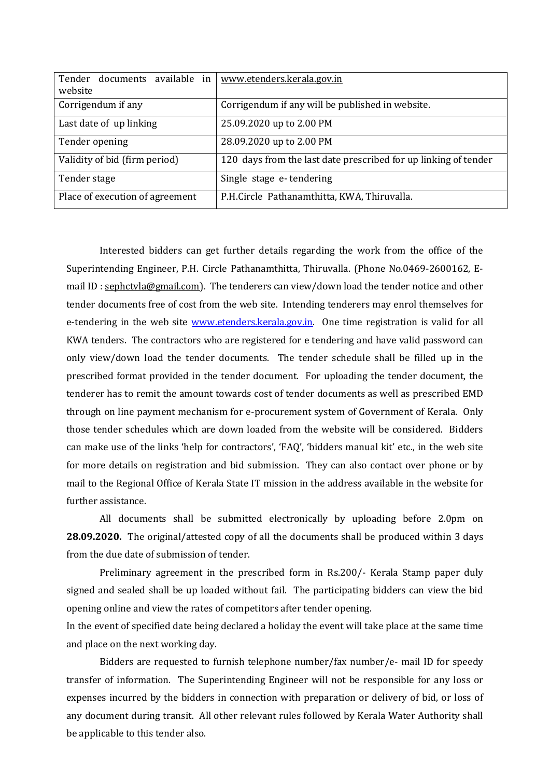| Tender documents available in<br>website | www.etenders.kerala.gov.in                                      |  |  |  |
|------------------------------------------|-----------------------------------------------------------------|--|--|--|
| Corrigendum if any                       | Corrigendum if any will be published in website.                |  |  |  |
| Last date of up linking                  | 25.09.2020 up to 2.00 PM                                        |  |  |  |
| Tender opening                           | 28.09.2020 up to 2.00 PM                                        |  |  |  |
| Validity of bid (firm period)            | 120 days from the last date prescribed for up linking of tender |  |  |  |
| Tender stage                             | Single stage e-tendering                                        |  |  |  |
| Place of execution of agreement          | P.H.Circle Pathanamthitta, KWA, Thiruvalla.                     |  |  |  |

Interested bidders can get further details regarding the work from the office of the Superintending Engineer, P.H. Circle Pathanamthitta, Thiruvalla. (Phone No.0469-2600162, Email ID [: sephctvla@gmail.com\)](mailto:sephctvla@gmail.com). The tenderers can view/down load the tender notice and other tender documents free of cost from the web site. Intending tenderers may enrol themselves for e-tendering in the web site [www.etenders.kerala.gov.in.](http://www.etenders.kerala.gov.in/) One time registration is valid for all KWA tenders. The contractors who are registered for e tendering and have valid password can only view/down load the tender documents. The tender schedule shall be filled up in the prescribed format provided in the tender document. For uploading the tender document, the tenderer has to remit the amount towards cost of tender documents as well as prescribed EMD through on line payment mechanism for e-procurement system of Government of Kerala. Only those tender schedules which are down loaded from the website will be considered. Bidders can make use of the links 'help for contractors', 'FAQ', 'bidders manual kit' etc., in the web site for more details on registration and bid submission. They can also contact over phone or by mail to the Regional Office of Kerala State IT mission in the address available in the website for further assistance.

All documents shall be submitted electronically by uploading before 2.0pm on **28.09.2020.** The original/attested copy of all the documents shall be produced within 3 days from the due date of submission of tender.

Preliminary agreement in the prescribed form in Rs.200/- Kerala Stamp paper duly signed and sealed shall be up loaded without fail. The participating bidders can view the bid opening online and view the rates of competitors after tender opening.

In the event of specified date being declared a holiday the event will take place at the same time and place on the next working day.

Bidders are requested to furnish telephone number/fax number/e- mail ID for speedy transfer of information. The Superintending Engineer will not be responsible for any loss or expenses incurred by the bidders in connection with preparation or delivery of bid, or loss of any document during transit. All other relevant rules followed by Kerala Water Authority shall be applicable to this tender also.